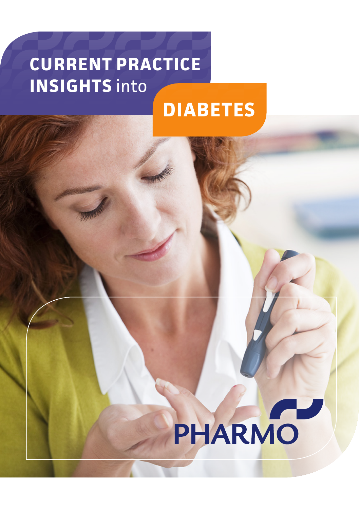# **DIABETES CURRENT PRACTICE INSIGHTS** into

# PHARMO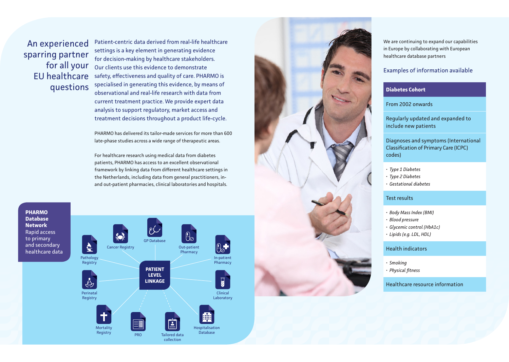An experienced sparring partner for all your EU healthcare questions

Patient-centric data derived from real-life healthcare settings is a key element in generating evidence for decision-making by healthcare stakeholders. Our clients use this evidence to demonstrate safety, effectiveness and quality of care. PHARMO is specialised in generating this evidence, by means of observational and real-life research with data from current treatment practice. We provide expert data analysis to support regulatory, market access and treatment decisions throughout a product life-cycle.

PHARMO has delivered its tailor-made services for more than 600 late-phase studies across a wide range of therapeutic areas.

For healthcare research using medical data from diabetes patients, PHARMO has access to an excellent observational framework by linking data from different healthcare settings in the Netherlands, including data from general practitioners, inand out-patient pharmacies, clinical laboratories and hospitals.

**PHARMO Database Network** Rapid access to primary and secondary healthcare data





We are continuing to expand our capabilities in Europe by collaborating with European healthcare database partners

## Examples of information available

### **Diabetes Cohort**

From 2002 onwards

Regularly updated and expanded to include new patients

Diagnoses and symptoms (International Classification of Primary Care (ICPC) codes)

- *• Type 1 Diabetes*
- *• Type 2 Diabetes • Gestational diabetes*
- 

#### Test results

- *• Body Mass Index (BMI)*
- *• Blood pressure*
- *• Glycemic control (HbA1c)*
- *• Lipids (e.g. LDL, HDL)*

#### Health indicators

- 
- *• Smoking • Physical fitness*

# Healthcare resource information